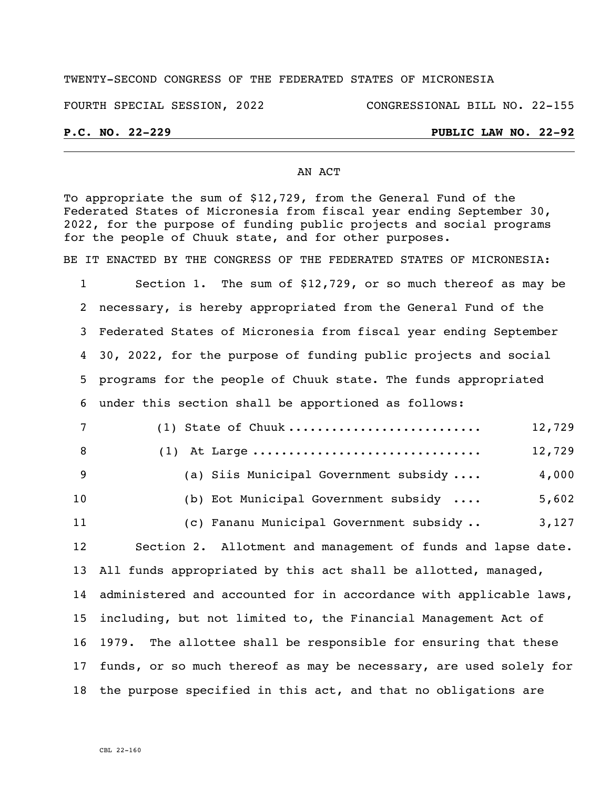### TWENTY-SECOND CONGRESS OF THE FEDERATED STATES OF MICRONESIA

FOURTH SPECIAL SESSION, 2022 CONGRESSIONAL BILL NO. 22-155

## **P.C. NO. 22-229 PUBLIC LAW NO. 22-92**

### AN ACT

To appropriate the sum of \$12,729, from the General Fund of the Federated States of Micronesia from fiscal year ending September 30, 2022, for the purpose of funding public projects and social programs for the people of Chuuk state, and for other purposes.

BE IT ENACTED BY THE CONGRESS OF THE FEDERATED STATES OF MICRONESIA:

 Section 1. The sum of \$12,729, or so much thereof as may be necessary, is hereby appropriated from the General Fund of the Federated States of Micronesia from fiscal year ending September 30, 2022, for the purpose of funding public projects and social programs for the people of Chuuk state. The funds appropriated under this section shall be apportioned as follows:

| $7\phantom{.0}$ | $(1)$ State of Chuuk                                                  | 12,729 |
|-----------------|-----------------------------------------------------------------------|--------|
| 8               | $(1)$ At Large                                                        | 12,729 |
| 9               | (a) Siis Municipal Government subsidy                                 | 4,000  |
| 10 <sub>1</sub> | (b) Eot Municipal Government subsidy $\ldots$                         | 5,602  |
| 11              | (c) Fananu Municipal Government subsidy                               | 3,127  |
| 12              | Section 2. Allotment and management of funds and lapse date.          |        |
|                 | 13 All funds appropriated by this act shall be allotted, managed,     |        |
|                 | 14 administered and accounted for in accordance with applicable laws, |        |
|                 | 15 including, but not limited to, the Financial Management Act of     |        |
|                 | 16 1979. The allottee shall be responsible for ensuring that these    |        |

 funds, or so much thereof as may be necessary, are used solely for the purpose specified in this act, and that no obligations are